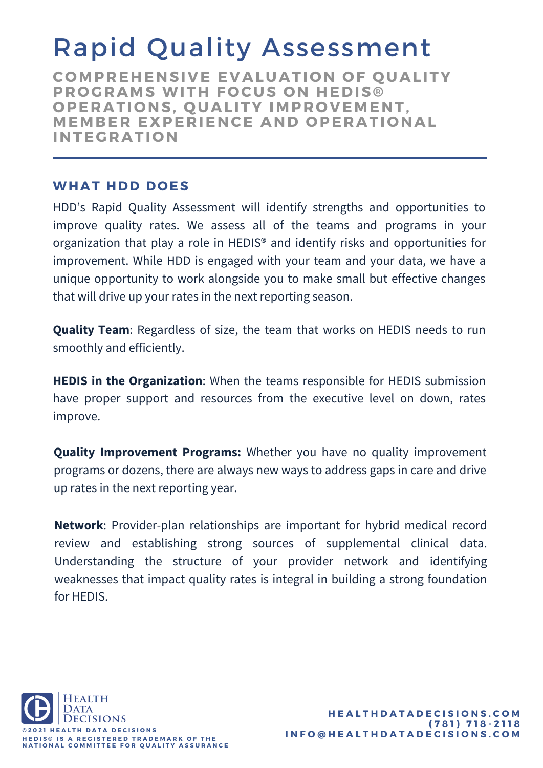## Rapid Quality Assessment

**C OMPREHENSIVE EVALUATI O N O F Q UALITY PR O GRAMS WITH F O CUS O N HEDIS® O PERATI O NS, Q UALITY IMPR O VEMENT, MEMBER EXPERIENCE AND O PERATI O NAL INTEGRATI O N**

#### **WHAT HDD D O ES**

HDD's Rapid Quality Assessment will identify strengths and opportunities to improve quality rates. We assess all of the teams and programs in your organization that play a role in HEDIS® and identify risks and opportunities for improvement. While HDD is engaged with your team and your data, we have a unique opportunity to work alongside you to make small but effective changes that will drive up your rates in the next reporting season.

**Quality Team**: Regardless of size, the team that works on HEDIS needs to run smoothly and efficiently.

**HEDIS in the Organization**: When the teams responsible for HEDIS submission have proper support and resources from the executive level on down, rates improve.

**Quality Improvement Programs:** Whether you have no quality improvement programs or dozens, there are always new ways to address gaps in care and drive up rates in the next reporting year.

**Network**: Provider-plan relationships are important for hybrid medical record review and establishing strong sources of supplemental clinical data. Understanding the structure of your provider network and identifying weaknesses that impact quality rates is integral in building a strong foundation for HEDIS.